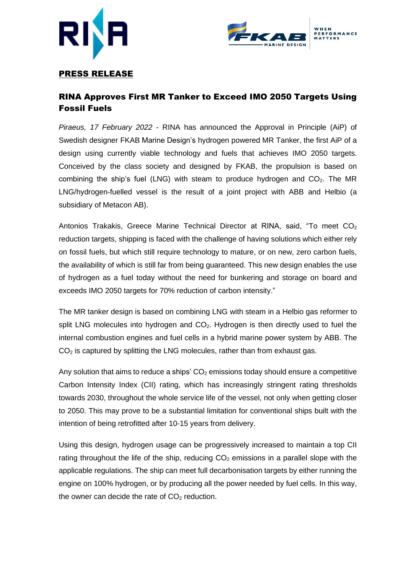



## PRESS RELEASE

# RINA Approves First MR Tanker to Exceed IMO 2050 Targets Using Fossil Fuels

*Piraeus, 17 February 2022* - RINA has announced the Approval in Principle (AiP) of Swedish designer FKAB Marine Design's hydrogen powered MR Tanker, the first AiP of a design using currently viable technology and fuels that achieves IMO 2050 targets. Conceived by the class society and designed by FKAB, the propulsion is based on combining the ship's fuel (LNG) with steam to produce hydrogen and  $CO<sub>2</sub>$ . The MR LNG/hydrogen-fuelled vessel is the result of a joint project with ABB and Helbio (a subsidiary of Metacon AB).

Antonios Trakakis, Greece Marine Technical Director at RINA, said, "To meet CO<sub>2</sub> reduction targets, shipping is faced with the challenge of having solutions which either rely on fossil fuels, but which still require technology to mature, or on new, zero carbon fuels, the availability of which is still far from being guaranteed. This new design enables the use of hydrogen as a fuel today without the need for bunkering and storage on board and exceeds IMO 2050 targets for 70% reduction of carbon intensity."

The MR tanker design is based on combining LNG with steam in a Helbio gas reformer to split LNG molecules into hydrogen and  $CO<sub>2</sub>$ . Hydrogen is then directly used to fuel the internal combustion engines and fuel cells in a hybrid marine power system by ABB. The  $CO<sub>2</sub>$  is captured by splitting the LNG molecules, rather than from exhaust gas.

Any solution that aims to reduce a ships'  $CO<sub>2</sub>$  emissions today should ensure a competitive Carbon Intensity Index (CII) rating, which has increasingly stringent rating thresholds towards 2030, throughout the whole service life of the vessel, not only when getting closer to 2050. This may prove to be a substantial limitation for conventional ships built with the intention of being retrofitted after 10-15 years from delivery.

Using this design, hydrogen usage can be progressively increased to maintain a top CII rating throughout the life of the ship, reducing  $CO<sub>2</sub>$  emissions in a parallel slope with the applicable regulations. The ship can meet full decarbonisation targets by either running the engine on 100% hydrogen, or by producing all the power needed by fuel cells. In this way, the owner can decide the rate of  $CO<sub>2</sub>$  reduction.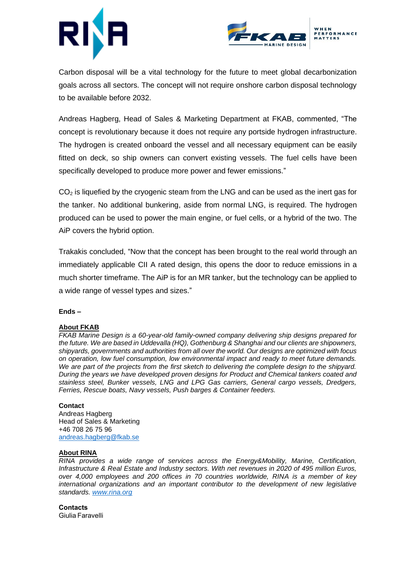



Carbon disposal will be a vital technology for the future to meet global decarbonization goals across all sectors. The concept will not require onshore carbon disposal technology to be available before 2032.

Andreas Hagberg, Head of Sales & Marketing Department at FKAB, commented, "The concept is revolutionary because it does not require any portside hydrogen infrastructure. The hydrogen is created onboard the vessel and all necessary equipment can be easily fitted on deck, so ship owners can convert existing vessels. The fuel cells have been specifically developed to produce more power and fewer emissions."

 $CO<sub>2</sub>$  is liquefied by the cryogenic steam from the LNG and can be used as the inert gas for the tanker. No additional bunkering, aside from normal LNG, is required. The hydrogen produced can be used to power the main engine, or fuel cells, or a hybrid of the two. The AiP covers the hybrid option.

Trakakis concluded, "Now that the concept has been brought to the real world through an immediately applicable CII A rated design, this opens the door to reduce emissions in a much shorter timeframe. The AiP is for an MR tanker, but the technology can be applied to a wide range of vessel types and sizes."

### **Ends –**

### **About FKAB**

*FKAB Marine Design is a 60-year-old family-owned company delivering ship designs prepared for the future. We are based in Uddevalla (HQ), Gothenburg & Shanghai and our clients are shipowners, shipyards, governments and authorities from all over the world. Our designs are optimized with focus on operation, low fuel consumption, low environmental impact and ready to meet future demands. We are part of the projects from the first sketch to delivering the complete design to the shipyard. During the years we have developed proven designs for Product and Chemical tankers coated and stainless steel, Bunker vessels, LNG and LPG Gas carriers, General cargo vessels, Dredgers, Ferries, Rescue boats, Navy vessels, Push barges & Container feeders.*

### **Contact**

Andreas Hagberg Head of Sales & Marketing +46 708 26 75 96 [andreas.hagberg@fkab.se](mailto:andreas.hagberg@fkab.se)

#### **About RINA**

*RINA provides a wide range of services across the Energy&Mobility, Marine, Certification, Infrastructure & Real Estate and Industry sectors. With net revenues in 2020 of 495 million Euros, over 4,000 employees and 200 offices in 70 countries worldwide, RINA is a member of key international organizations and an important contributor to the development of new legislative standards. [www.rina.org](http://www.rina.org/)*

**Contacts** Giulia Faravelli